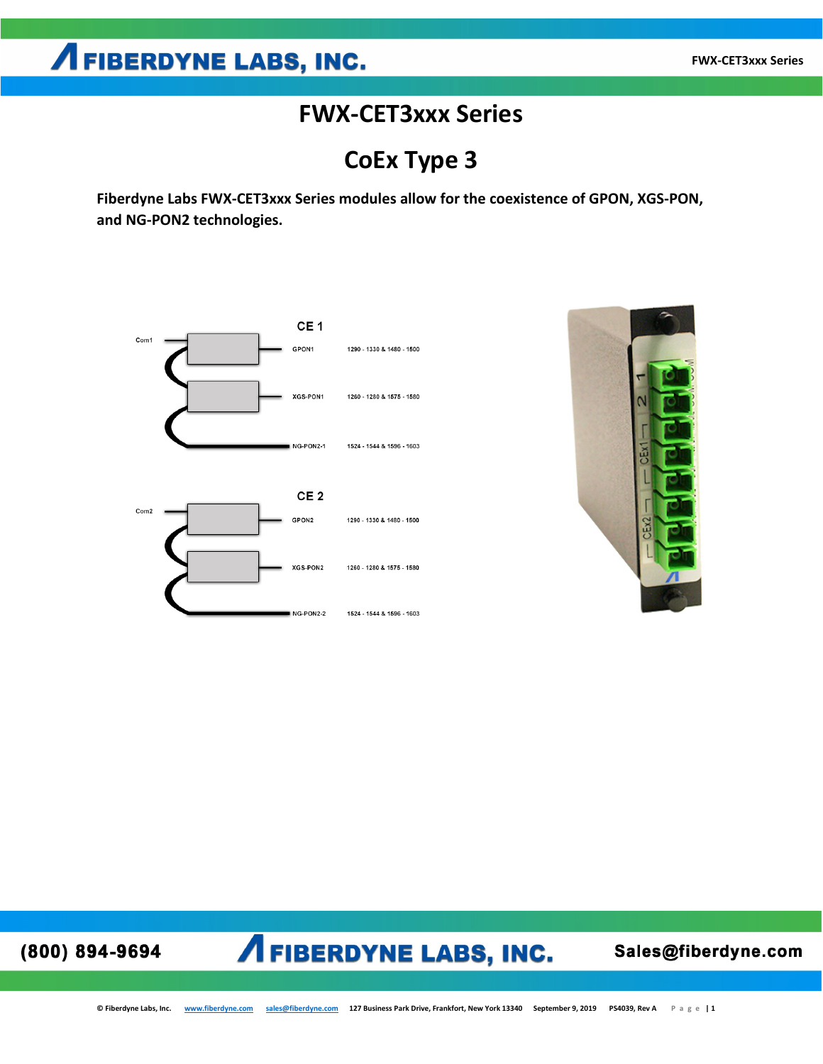### **FWX-CET3xxx Series**

**CoEx Type 3**

**Fiberdyne Labs FWX-CET3xxx Series modules allow for the coexistence of GPON, XGS-PON, and NG-PON2 technologies.** 





### (800) 894-9694

## **AFIBERDYNE LABS, INC.**

Sales@fiberdyne.com